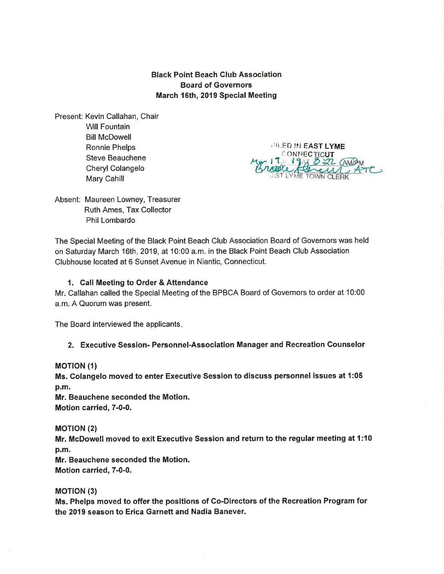Black Point Beach Club Association Board of Governors March 16th, 2019 Special Meeting

Present: Kevin Callahan, Chair Will Fountain Bill McDowell Ronnie Phelps Steve Beauchene Cheryl Colangelo Mary Cahill

**IFILED IN EAST LYME** CONNECTICUT ST LYME

Absent: Maureen Lowney, Treasurer Ruth Ames, Tax Collector Phil Lombardo

The Special Meeting of the Black Point Beach Club Association Board of Governors was held on Saturday March 16th, 2019, at 10:00 a.m. in the Black Point Beach Club Association Clubhouse located at 6 Sunset Avenue in Niantic, Connecticut.

## 1. Call Meeting to Order & Attendance

Mr. Callahan called the Special Meeting of the BPBCA Board of Governors to order at 10:00 a.m. A Quorum was present.

The Board interviewed the applicants

### 2. Executive Session- Personnel-Association Manager and Recreation Counselor

### **MOTION (1)**

Ms. Golangelo moved to enter Executive Session to discuss personnel issues at 1:05 p.m.

Mr. Beauchene seconded the Motion. Motion carried, 7-0-0.

### **MOTION (2)**

Mr. McDowell moved to exit Executive Session and return to the regular meeting at 1:10 p.m.

Mr. Beauchene seconded the Motion. Motion carried, 7-0-0.

### **MOTION** (3)

Ms. Phelps moved to offer the positions of Co-Directors of the Recreation Program for the 2019 season to Erica Garnett and Nadia Banever.